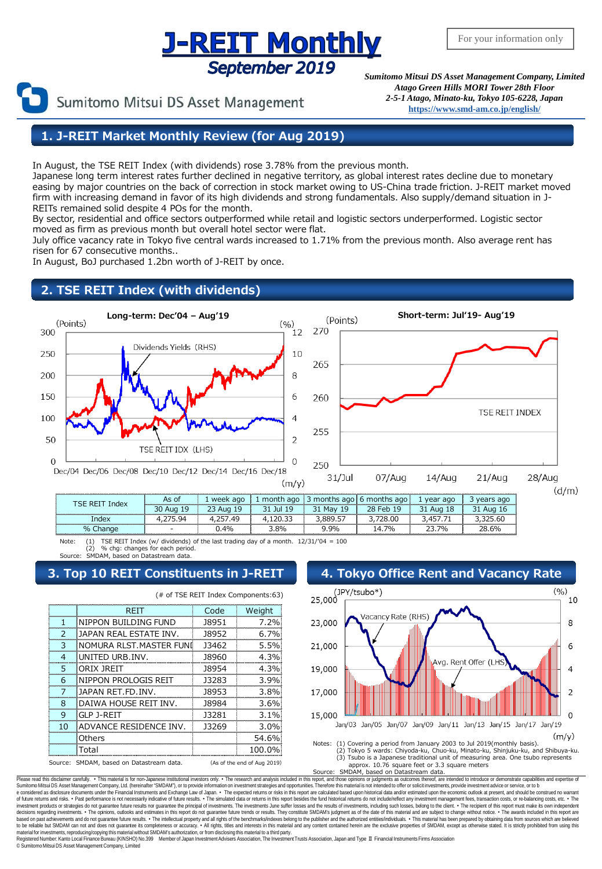## **J-REIT Monthly** September 2019

Sumitomo Mitsui DS Asset Management

*Sumitomo Mitsui DS Asset Management Company, Limited Atago Green Hills MORI Tower 28th Floor 2-5-1 Atago, Minato-ku, Tokyo 105-6228, Japan* **[https://www.smd-am.co.jp/english/](http://www.smam-jp.com/english/)**

## **1. J-REIT Market Monthly Review (for Aug 2019)**

In August, the TSE REIT Index (with dividends) rose 3.78% from the previous month.

Japanese long term interest rates further declined in negative territory, as global interest rates decline due to monetary easing by major countries on the back of correction in stock market owing to US-China trade friction. J-REIT market moved firm with increasing demand in favor of its high dividends and strong fundamentals. Also supply/demand situation in J-REITs remained solid despite 4 POs for the month.

By sector, residential and office sectors outperformed while retail and logistic sectors underperformed. Logistic sector moved as firm as previous month but overall hotel sector were flat.

July office vacancy rate in Tokyo five central wards increased to 1.71% from the previous month. Also average rent has risen for 67 consecutive months..

In August, BoJ purchased 1.2bn worth of J-REIT by once.

## **2. TSE REIT Index (with dividends)**



| <b>ISE REIT</b><br>Index | As of        | ago<br>. week  | month ago     | months ago | 6 months ago    | vear<br>ago     | vears ago |
|--------------------------|--------------|----------------|---------------|------------|-----------------|-----------------|-----------|
|                          | 30 Aug<br>19 | Aug            | <b>Jul 19</b> | May        | 28<br>10<br>Feh | 18<br>31<br>Aua | 31<br>Aua |
| Index                    | Q۵           | 4 <sup>c</sup> |               | 3,889.5    |                 |                 | .60       |
| % Change                 |              | $.4\%$         | 8%،           | 9.9%       | 14.7%           | 70/0            | 28.6%     |

Note: (1) TSE REIT Index (w/ dividends) of the last trading day of a month. 12/31/'04 = 100 (2) % chg: changes for each period.

SMDAM, based on Datastream data

|                                                                            | REIT                    | Code  | Weight  |  |  |
|----------------------------------------------------------------------------|-------------------------|-------|---------|--|--|
|                                                                            | NIPPON BUILDING FUND    | 18951 | 7.2%    |  |  |
| っ                                                                          | JAPAN REAL ESTATE INV.  | 18952 | 6.7%    |  |  |
| 3                                                                          | NOMURA RLST.MASTER FUNI | 13462 | 5.5%    |  |  |
| 4                                                                          | UNITED URB.INV.         | 18960 | 4.3%    |  |  |
| 5                                                                          | ORIX JREIT              | 18954 | 4.3%    |  |  |
| 6                                                                          | NIPPON PROLOGIS REIT    | 13283 | 3.9%    |  |  |
| 7                                                                          | JAPAN RET.FD.INV.       | 18953 | 3.8%    |  |  |
| 8                                                                          | DAIWA HOUSE REIT INV.   | 18984 | 3.6%    |  |  |
| 9                                                                          | GLP J-REIT              | 13281 | $3.1\%$ |  |  |
| 10                                                                         | ADVANCE RESIDENCE INV.  | 13269 | 3.0%    |  |  |
|                                                                            | Others                  |       | 54.6%   |  |  |
|                                                                            | Total                   |       | 100.0%  |  |  |
| SMDAM, based on Datastream data.<br>Source:<br>(As of the end of Aug 2019) |                         |       |         |  |  |





Approx. 10.76 square feet or 3.3 square meters<br>Source: SMDAM, based on Datastream data. SMDAM, based on Datastream data.

Please read this disclaimer carefully. • This material is for non-Japanese institutional investors only. • The research and analysis included in this report, and those opinions or judgments as outcomes thereof, are intende e considered as disclosure documents under the Financial Instruments and Exchange Law of Japan. • The expected returns or risks in this report are calculated based upon historical data and/or estimated upon the economic ou decisions regarding investments. • The opinions, outlooks and estimates in this report do not guarantee future trends or results. They constitute SMDAM's judgment as of the date of this material and are subject to change w material for investments, reproducing/copying this material without SMDAM's authorization, or from disclosing this material to a third party.<br>Registered Number: Kanto Local Finance Bureau (KINSHO) No.399 Member of Japan In © SumitomoMitsui DS Asset Management Company, Limited